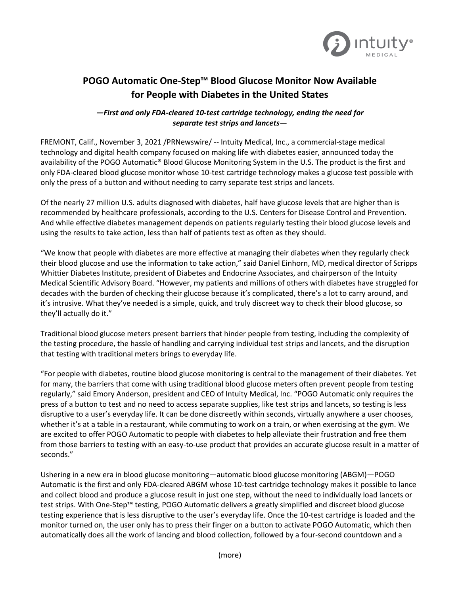

## **POGO Automatic One-Step™ Blood Glucose Monitor Now Available for People with Diabetes in the United States**

## *—First and only FDA-cleared 10-test cartridge technology, ending the need for separate test strips and lancets—*

FREMONT, Calif., November 3, 2021 /PRNewswire/ -- Intuity Medical, Inc., a commercial-stage medical technology and digital health company focused on making life with diabetes easier, announced today the availability of the POGO Automatic® Blood Glucose Monitoring System in the U.S. The product is the first and only FDA-cleared blood glucose monitor whose 10-test cartridge technology makes a glucose test possible with only the press of a button and without needing to carry separate test strips and lancets.

Of the nearly 27 million U.S. adults diagnosed with diabetes, half have glucose levels that are higher than is recommended by healthcare professionals, according to the U.S. Centers for Disease Control and Prevention. And while effective diabetes management depends on patients regularly testing their blood glucose levels and using the results to take action, less than half of patients test as often as they should.

"We know that people with diabetes are more effective at managing their diabetes when they regularly check their blood glucose and use the information to take action," said Daniel Einhorn, MD, medical director of Scripps Whittier Diabetes Institute, president of Diabetes and Endocrine Associates, and chairperson of the Intuity Medical Scientific Advisory Board. "However, my patients and millions of others with diabetes have struggled for decades with the burden of checking their glucose because it's complicated, there's a lot to carry around, and it's intrusive. What they've needed is a simple, quick, and truly discreet way to check their blood glucose, so they'll actually do it."

Traditional blood glucose meters present barriers that hinder people from testing, including the complexity of the testing procedure, the hassle of handling and carrying individual test strips and lancets, and the disruption that testing with traditional meters brings to everyday life.

"For people with diabetes, routine blood glucose monitoring is central to the management of their diabetes. Yet for many, the barriers that come with using traditional blood glucose meters often prevent people from testing regularly," said Emory Anderson, president and CEO of Intuity Medical, Inc. "POGO Automatic only requires the press of a button to test and no need to access separate supplies, like test strips and lancets, so testing is less disruptive to a user's everyday life. It can be done discreetly within seconds, virtually anywhere a user chooses, whether it's at a table in a restaurant, while commuting to work on a train, or when exercising at the gym. We are excited to offer POGO Automatic to people with diabetes to help alleviate their frustration and free them from those barriers to testing with an easy-to-use product that provides an accurate glucose result in a matter of seconds."

Ushering in a new era in blood glucose monitoring—automatic blood glucose monitoring (ABGM)—POGO Automatic is the first and only FDA-cleared ABGM whose 10-test cartridge technology makes it possible to lance and collect blood and produce a glucose result in just one step, without the need to individually load lancets or test strips. With One-Step™ testing, POGO Automatic delivers a greatly simplified and discreet blood glucose testing experience that is less disruptive to the user's everyday life. Once the 10-test cartridge is loaded and the monitor turned on, the user only has to press their finger on a button to activate POGO Automatic, which then automatically does all the work of lancing and blood collection, followed by a four-second countdown and a